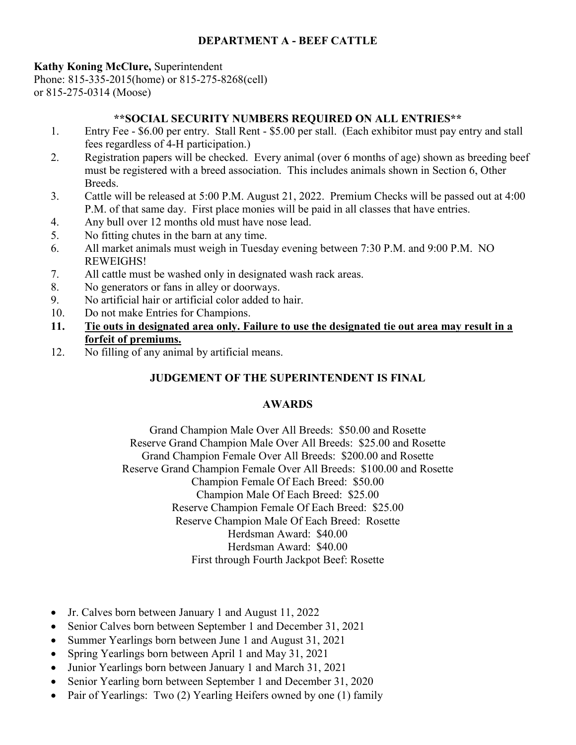## **DEPARTMENT A - BEEF CATTLE**

## **Kathy Koning McClure,** Superintendent

Phone: 815-335-2015(home) or 815-275-8268(cell) or 815-275-0314 (Moose)

## **\*\*SOCIAL SECURITY NUMBERS REQUIRED ON ALL ENTRIES\*\***

- 1. Entry Fee \$6.00 per entry. Stall Rent \$5.00 per stall. (Each exhibitor must pay entry and stall fees regardless of 4-H participation.)
- 2. Registration papers will be checked. Every animal (over 6 months of age) shown as breeding beef must be registered with a breed association. This includes animals shown in Section 6, Other Breeds.
- 3. Cattle will be released at 5:00 P.M. August 21, 2022. Premium Checks will be passed out at 4:00 P.M. of that same day. First place monies will be paid in all classes that have entries.
- 4. Any bull over 12 months old must have nose lead.
- 5. No fitting chutes in the barn at any time.
- 6. All market animals must weigh in Tuesday evening between 7:30 P.M. and 9:00 P.M. NO REWEIGHS!
- 7. All cattle must be washed only in designated wash rack areas.
- 8. No generators or fans in alley or doorways.
- 9. No artificial hair or artificial color added to hair.
- 10. Do not make Entries for Champions.
- **11. Tie outs in designated area only. Failure to use the designated tie out area may result in a forfeit of premiums.**
- 12. No filling of any animal by artificial means.

# **JUDGEMENT OF THE SUPERINTENDENT IS FINAL**

## **AWARDS**

Grand Champion Male Over All Breeds: \$50.00 and Rosette Reserve Grand Champion Male Over All Breeds: \$25.00 and Rosette Grand Champion Female Over All Breeds: \$200.00 and Rosette Reserve Grand Champion Female Over All Breeds: \$100.00 and Rosette Champion Female Of Each Breed: \$50.00 Champion Male Of Each Breed: \$25.00 Reserve Champion Female Of Each Breed: \$25.00 Reserve Champion Male Of Each Breed: Rosette Herdsman Award: \$40.00 Herdsman Award: \$40.00 First through Fourth Jackpot Beef: Rosette

- Jr. Calves born between January 1 and August 11, 2022
- Senior Calves born between September 1 and December 31, 2021
- Summer Yearlings born between June 1 and August 31, 2021
- Spring Yearlings born between April 1 and May 31, 2021
- Junior Yearlings born between January 1 and March 31, 2021
- Senior Yearling born between September 1 and December 31, 2020
- Pair of Yearlings: Two (2) Yearling Heifers owned by one (1) family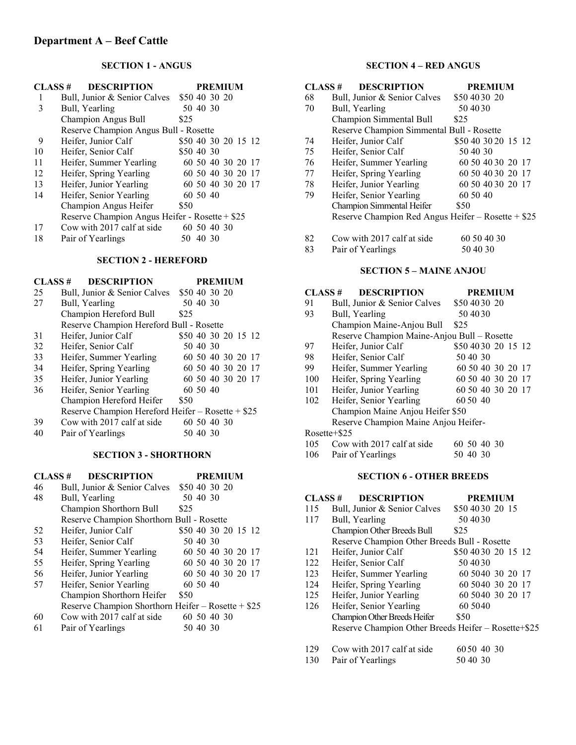### **SECTION 1 - ANGUS**

| CLASS# | <b>DESCRIPTION</b>                             |                     |             |  | <b>PREMIUM</b>    |  |  |
|--------|------------------------------------------------|---------------------|-------------|--|-------------------|--|--|
|        | Bull, Junior & Senior Calves                   | \$50 40 30 20       |             |  |                   |  |  |
| 3      | Bull, Yearling                                 |                     | 50 40 30    |  |                   |  |  |
|        | <b>Champion Angus Bull</b>                     | \$25                |             |  |                   |  |  |
|        | Reserve Champion Angus Bull - Rosette          |                     |             |  |                   |  |  |
| 9      | Heifer, Junior Calf                            | \$50 40 30 20 15 12 |             |  |                   |  |  |
| 10     | Heifer, Senior Calf                            | \$50 40 30          |             |  |                   |  |  |
| 11     | Heifer, Summer Yearling                        |                     |             |  | 60 50 40 30 20 17 |  |  |
| 12     | Heifer, Spring Yearling                        |                     |             |  | 60 50 40 30 20 17 |  |  |
| 13     | Heifer, Junior Yearling                        |                     |             |  | 60 50 40 30 20 17 |  |  |
| 14     | Heifer, Senior Yearling                        |                     | 60 50 40    |  |                   |  |  |
|        | Champion Angus Heifer                          | \$50                |             |  |                   |  |  |
|        | Reserve Champion Angus Heifer - Rosette + \$25 |                     |             |  |                   |  |  |
| 17     | Cow with 2017 calf at side                     |                     | 60 50 40 30 |  |                   |  |  |
| 18     | Pair of Yearlings                              | 50.                 | 40 30       |  |                   |  |  |
|        |                                                |                     |             |  |                   |  |  |

### **SECTION 2 - HEREFORD**

| CLASS# | <b>DESCRIPTION</b>                                | <b>PREMIUM</b>      |
|--------|---------------------------------------------------|---------------------|
| 25     | Bull, Junior & Senior Calves                      | \$50 40 30 20       |
| 27     | Bull, Yearling                                    | 50 40 30            |
|        | Champion Hereford Bull                            | \$25                |
|        | Reserve Champion Hereford Bull - Rosette          |                     |
| 31     | Heifer, Junior Calf                               | \$50 40 30 20 15 12 |
| 32     | Heifer, Senior Calf                               | 50 40 30            |
| 33     | Heifer, Summer Yearling                           | 60 50 40 30 20 17   |
| 34     | Heifer, Spring Yearling                           | 60 50 40 30 20 17   |
| 35     | Heifer, Junior Yearling                           | 60 50 40 30 20 17   |
| 36     | Heifer, Senior Yearling                           | 60 50 40            |
|        | Champion Hereford Heifer                          | \$50                |
|        | Reserve Champion Hereford Heifer - Rosette + \$25 |                     |
| 39     | Cow with 2017 calf at side                        | 60 50 40 30         |
| 40     | Pair of Yearlings                                 | 50 40 30            |

#### **SECTION 3 - SHORTHORN**

| <b>DESCRIPTION</b><br>CLASS# |                                                     |                     |          |             | <b>PREMIUM</b>    |  |
|------------------------------|-----------------------------------------------------|---------------------|----------|-------------|-------------------|--|
| 46                           | Bull, Junior & Senior Calves                        | \$50 40 30 20       |          |             |                   |  |
| 48                           | Bull, Yearling                                      |                     | 50 40 30 |             |                   |  |
|                              | Champion Shorthorn Bull                             | \$25                |          |             |                   |  |
|                              | Reserve Champion Shorthorn Bull - Rosette           |                     |          |             |                   |  |
| 52                           | Heifer, Junior Calf                                 | \$50 40 30 20 15 12 |          |             |                   |  |
| 53                           | Heifer, Senior Calf                                 |                     | 50 40 30 |             |                   |  |
| 54                           | Heifer, Summer Yearling                             |                     |          |             | 60 50 40 30 20 17 |  |
| 55                           | Heifer, Spring Yearling                             |                     |          |             | 60 50 40 30 20 17 |  |
| 56                           | Heifer, Junior Yearling                             |                     |          |             | 60 50 40 30 20 17 |  |
| 57                           | Heifer, Senior Yearling                             |                     | 60 50 40 |             |                   |  |
|                              | Champion Shorthorn Heifer                           | \$50                |          |             |                   |  |
|                              | Reserve Champion Shorthorn Heifer – Rosette + $$25$ |                     |          |             |                   |  |
| 60                           | Cow with 2017 calf at side                          |                     |          | 60 50 40 30 |                   |  |
| 61                           | Pair of Yearlings                                   |                     | 50 40 30 |             |                   |  |

## **SECTION 4 – RED ANGUS**

| CLASS# | <b>DESCRIPTION</b>                                  | <b>PREMIUM</b>      |
|--------|-----------------------------------------------------|---------------------|
| 68     | Bull, Junior & Senior Calves                        | \$50 40 30 20       |
| 70     | Bull, Yearling                                      | 50 40 30            |
|        | Champion Simmental Bull                             | \$25                |
|        | Reserve Champion Simmental Bull - Rosette           |                     |
| 74     | Heifer, Junior Calf                                 | \$50 40 30 20 15 12 |
| 75     | Heifer, Senior Calf                                 | 50 40 30            |
| 76     | Heifer, Summer Yearling                             | 60 50 40 30 20 17   |
| 77     | Heifer, Spring Yearling                             | 60 50 40 30 20 17   |
| 78     | Heifer, Junior Yearling                             | 60 50 40 30 20 17   |
| 79     | Heifer, Senior Yearling                             | 60 50 40            |
|        | Champion Simmental Heifer                           | \$50                |
|        | Reserve Champion Red Angus Heifer - Rosette + $$25$ |                     |
| 82     | Cow with 2017 calf at side                          | 60 50 40 30         |
| 83     | Pair of Yearlings                                   | 50 40 30            |

### **SECTION 5 – MAINE ANJOU**

#### **CLASS # DESCRIPTION PREMIUM**

| 91  | Bull, Junior & Senior Calves                   | \$50 40 30 20       |  |  |  |  |
|-----|------------------------------------------------|---------------------|--|--|--|--|
| 93  | Bull, Yearling                                 | 50 40 30            |  |  |  |  |
|     | Champion Maine-Anjou Bull                      | \$25                |  |  |  |  |
|     | Reserve Champion Maine-Anjou Bull - Rosette    |                     |  |  |  |  |
| 97  | Heifer, Junior Calf                            | \$50 40 30 20 15 12 |  |  |  |  |
| 98  | Heifer, Senior Calf                            | 50 40 30            |  |  |  |  |
| 99  | Heifer, Summer Yearling                        | 60 50 40 30 20 17   |  |  |  |  |
| 100 | Heifer, Spring Yearling                        | 60 50 40 30 20 17   |  |  |  |  |
| 101 | Heifer, Junior Yearling                        | 60 50 40 30 20 17   |  |  |  |  |
| 102 | Heifer, Senior Yearling                        | 60.50.40            |  |  |  |  |
|     | Champion Maine Anjou Heifer \$50               |                     |  |  |  |  |
|     | Reserve Champion Maine Anjou Heifer-           |                     |  |  |  |  |
|     | Rosette+\$25                                   |                     |  |  |  |  |
|     | $105$ Courwith $2017$ solf et side 60.50.40.20 |                     |  |  |  |  |

105 Cow with 2017 calf at side 60 50 40 30

# 106 Pair of Yearlings 50 40 30

## **SECTION 6 - OTHER BREEDS**

|      | <b>DESCRIPTION</b><br>CLASS #                       | <b>PREMIUM</b>      |
|------|-----------------------------------------------------|---------------------|
| 115  | Bull, Junior & Senior Calves                        | \$50 40 30 20 15    |
| 117  | Bull, Yearling                                      | 50 40 30            |
|      | Champion Other Breeds Bull                          | \$25                |
|      | Reserve Champion Other Breeds Bull - Rosette        |                     |
| 121  | Heifer, Junior Calf                                 | \$50 40 30 20 15 12 |
| 122. | Heifer, Senior Calf                                 | 50 40 30            |
| 123  | Heifer, Summer Yearling                             | 60 5040 30 20 17    |
| 124  | Heifer, Spring Yearling                             | 60 5040 30 20 17    |
| 125  | Heifer, Junior Yearling                             | 60 5040 30 20 17    |
| 126  | Heifer, Senior Yearling                             | 60 5040             |
|      | <b>Champion Other Breeds Heifer</b>                 | \$50                |
|      | Reserve Champion Other Breeds Heifer - Rosette+\$25 |                     |
| 129  | Cow with 2017 calf at side                          | 6050 40 30          |
| 130  | Pair of Yearlings                                   | 50.40.30            |
|      |                                                     |                     |